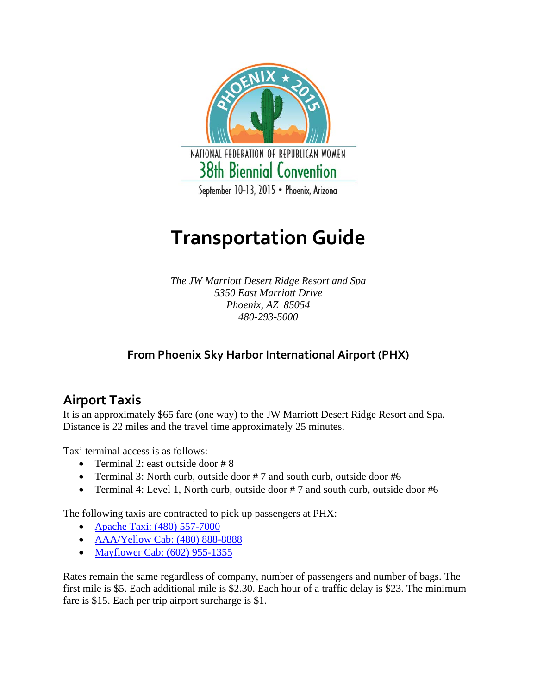

# **Transportation Guide**

*The JW Marriott Desert Ridge Resort and Spa 5350 East Marriott Drive Phoenix, AZ 85054 480-293-5000* 

#### **From Phoenix Sky Harbor International Airport (PHX)**

## **Airport Taxis**

It is an approximately \$65 fare (one way) to the JW Marriott Desert Ridge Resort and Spa. Distance is 22 miles and the travel time approximately 25 minutes.

Taxi terminal access is as follows:

- Terminal 2: east outside door  $# 8$
- Terminal 3: North curb, outside door #7 and south curb, outside door #6
- Terminal 4: Level 1, North curb, outside door #7 and south curb, outside door #6

The following taxis are contracted to pick up passengers at PHX:

- Apache Taxi: (480) 557-7000
- AAA/Yellow Cab: (480) 888-8888
- Mayflower Cab: (602) 955-1355

Rates remain the same regardless of company, number of passengers and number of bags. The first mile is \$5. Each additional mile is \$2.30. Each hour of a traffic delay is \$23. The minimum fare is \$15. Each per trip airport surcharge is \$1.